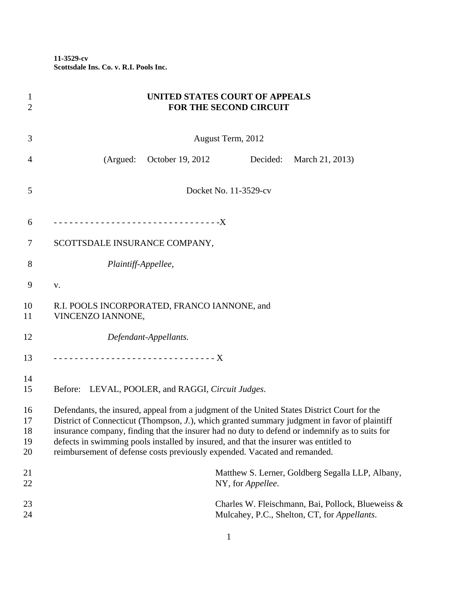**11-3529-cv Scottsdale Ins. Co. v. R.I. Pools Inc.**

| 1<br>$\overline{2}$        | UNITED STATES COURT OF APPEALS<br><b>FOR THE SECOND CIRCUIT</b>                                                                                                                                                                                                                                                                                                                                                                                                    |
|----------------------------|--------------------------------------------------------------------------------------------------------------------------------------------------------------------------------------------------------------------------------------------------------------------------------------------------------------------------------------------------------------------------------------------------------------------------------------------------------------------|
| 3                          | August Term, 2012                                                                                                                                                                                                                                                                                                                                                                                                                                                  |
| 4                          | October 19, 2012<br>(Argued:<br>Decided:<br>March 21, 2013)                                                                                                                                                                                                                                                                                                                                                                                                        |
| 5                          | Docket No. 11-3529-cv                                                                                                                                                                                                                                                                                                                                                                                                                                              |
| 6                          | -----------------------------------X                                                                                                                                                                                                                                                                                                                                                                                                                               |
| 7                          | SCOTTSDALE INSURANCE COMPANY,                                                                                                                                                                                                                                                                                                                                                                                                                                      |
| 8                          | Plaintiff-Appellee,                                                                                                                                                                                                                                                                                                                                                                                                                                                |
| 9                          | ${\bf V}$ .                                                                                                                                                                                                                                                                                                                                                                                                                                                        |
| 10<br>11                   | R.I. POOLS INCORPORATED, FRANCO IANNONE, and<br>VINCENZO IANNONE,                                                                                                                                                                                                                                                                                                                                                                                                  |
| 12                         | Defendant-Appellants.                                                                                                                                                                                                                                                                                                                                                                                                                                              |
| 13                         |                                                                                                                                                                                                                                                                                                                                                                                                                                                                    |
| 14<br>15                   | LEVAL, POOLER, and RAGGI, Circuit Judges.<br>Before:                                                                                                                                                                                                                                                                                                                                                                                                               |
| 16<br>17<br>18<br>19<br>20 | Defendants, the insured, appeal from a judgment of the United States District Court for the<br>District of Connecticut (Thompson, J.), which granted summary judgment in favor of plaintiff<br>insurance company, finding that the insurer had no duty to defend or indemnify as to suits for<br>defects in swimming pools installed by insured, and that the insurer was entitled to<br>reimbursement of defense costs previously expended. Vacated and remanded. |
| 21<br>22                   | Matthew S. Lerner, Goldberg Segalla LLP, Albany,<br>NY, for Appellee.                                                                                                                                                                                                                                                                                                                                                                                              |
| 23<br>24                   | Charles W. Fleischmann, Bai, Pollock, Blueweiss &<br>Mulcahey, P.C., Shelton, CT, for Appellants.                                                                                                                                                                                                                                                                                                                                                                  |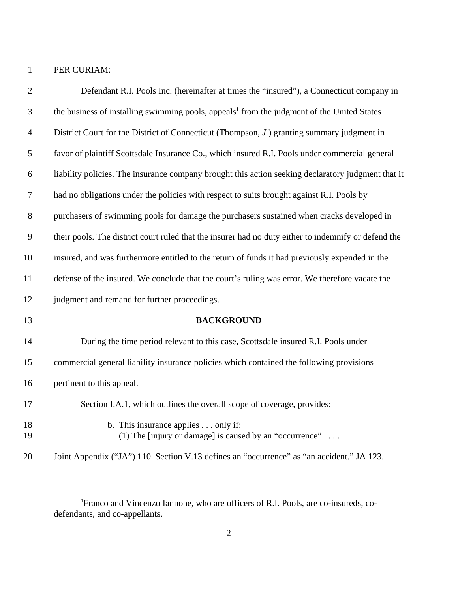PER CURIAM:

| $\overline{2}$ | Defendant R.I. Pools Inc. (hereinafter at times the "insured"), a Connecticut company in               |
|----------------|--------------------------------------------------------------------------------------------------------|
| 3              | the business of installing swimming pools, appeals <sup>1</sup> from the judgment of the United States |
| $\overline{4}$ | District Court for the District of Connecticut (Thompson, J.) granting summary judgment in             |
| 5              | favor of plaintiff Scottsdale Insurance Co., which insured R.I. Pools under commercial general         |
| 6              | liability policies. The insurance company brought this action seeking declaratory judgment that it     |
| $\tau$         | had no obligations under the policies with respect to suits brought against R.I. Pools by              |
| $8\,$          | purchasers of swimming pools for damage the purchasers sustained when cracks developed in              |
| 9              | their pools. The district court ruled that the insurer had no duty either to indemnify or defend the   |
| 10             | insured, and was furthermore entitled to the return of funds it had previously expended in the         |
| 11             | defense of the insured. We conclude that the court's ruling was error. We therefore vacate the         |
| 12             | judgment and remand for further proceedings.                                                           |
| 13             | <b>BACKGROUND</b>                                                                                      |
| 14             | During the time period relevant to this case, Scottsdale insured R.I. Pools under                      |
| 15             | commercial general liability insurance policies which contained the following provisions               |
| 16             | pertinent to this appeal.                                                                              |
| 17             | Section I.A.1, which outlines the overall scope of coverage, provides:                                 |
| 18<br>19       | b. This insurance applies $\dots$ only if:<br>(1) The [injury or damage] is caused by an "occurrence"  |
| 20             | Joint Appendix ("JA") 110. Section V.13 defines an "occurrence" as "an accident." JA 123.              |
|                |                                                                                                        |

<sup>&</sup>lt;sup>1</sup>Franco and Vincenzo Iannone, who are officers of R.I. Pools, are co-insureds, codefendants, and co-appellants.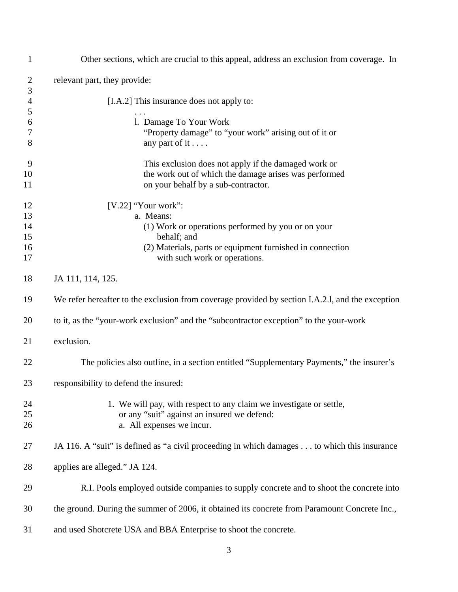| 1                                | Other sections, which are crucial to this appeal, address an exclusion from coverage. In                                                                                                            |
|----------------------------------|-----------------------------------------------------------------------------------------------------------------------------------------------------------------------------------------------------|
| $\overline{2}$<br>3              | relevant part, they provide:                                                                                                                                                                        |
| $\overline{4}$<br>5              | [I.A.2] This insurance does not apply to:                                                                                                                                                           |
| 6<br>7<br>8                      | 1. Damage To Your Work<br>"Property damage" to "your work" arising out of it or<br>any part of it $\dots$ .                                                                                         |
| 9<br>10<br>11                    | This exclusion does not apply if the damaged work or<br>the work out of which the damage arises was performed<br>on your behalf by a sub-contractor.                                                |
| 12<br>13<br>14<br>15<br>16<br>17 | [V.22] "Your work":<br>a. Means:<br>(1) Work or operations performed by you or on your<br>behalf; and<br>(2) Materials, parts or equipment furnished in connection<br>with such work or operations. |
| 18                               | JA 111, 114, 125.                                                                                                                                                                                   |
| 19                               | We refer hereafter to the exclusion from coverage provided by section I.A.2.1, and the exception                                                                                                    |
| 20                               | to it, as the "your-work exclusion" and the "subcontractor exception" to the your-work                                                                                                              |
| 21                               | exclusion.                                                                                                                                                                                          |
| 22                               | The policies also outline, in a section entitled "Supplementary Payments," the insurer's                                                                                                            |
| 23                               | responsibility to defend the insured:                                                                                                                                                               |
| 24<br>25<br>26                   | 1. We will pay, with respect to any claim we investigate or settle,<br>or any "suit" against an insured we defend:<br>a. All expenses we incur.                                                     |
| 27                               | JA 116. A "suit" is defined as "a civil proceeding in which damages to which this insurance                                                                                                         |
| 28                               | applies are alleged." JA 124.                                                                                                                                                                       |
| 29                               | R.I. Pools employed outside companies to supply concrete and to shoot the concrete into                                                                                                             |
| 30                               | the ground. During the summer of 2006, it obtained its concrete from Paramount Concrete Inc.,                                                                                                       |
| 31                               | and used Shotcrete USA and BBA Enterprise to shoot the concrete.                                                                                                                                    |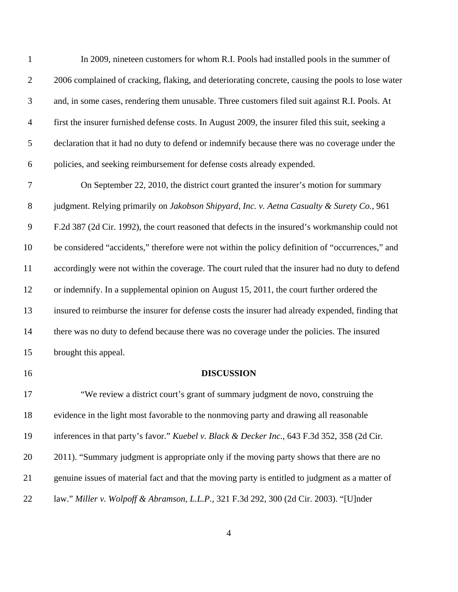| $\mathbf{1}$   | In 2009, nineteen customers for whom R.I. Pools had installed pools in the summer of              |
|----------------|---------------------------------------------------------------------------------------------------|
| $\mathbf{2}$   | 2006 complained of cracking, flaking, and deteriorating concrete, causing the pools to lose water |
| 3              | and, in some cases, rendering them unusable. Three customers filed suit against R.I. Pools. At    |
| $\overline{4}$ | first the insurer furnished defense costs. In August 2009, the insurer filed this suit, seeking a |
| 5              | declaration that it had no duty to defend or indemnify because there was no coverage under the    |
| 6              | policies, and seeking reimbursement for defense costs already expended.                           |
| 7              | On September 22, 2010, the district court granted the insurer's motion for summary                |
| $8\,$          | judgment. Relying primarily on Jakobson Shipyard, Inc. v. Aetna Casualty & Surety Co., 961        |
| $\mathbf{9}$   | F.2d 387 (2d Cir. 1992), the court reasoned that defects in the insured's workmanship could not   |
| 10             | be considered "accidents," therefore were not within the policy definition of "occurrences," and  |
| 11             | accordingly were not within the coverage. The court ruled that the insurer had no duty to defend  |
| 12             | or indemnify. In a supplemental opinion on August 15, 2011, the court further ordered the         |
| 13             | insured to reimburse the insurer for defense costs the insurer had already expended, finding that |
| 14             | there was no duty to defend because there was no coverage under the policies. The insured         |
| 15             | brought this appeal.                                                                              |
| 16             | <b>DISCUSSION</b>                                                                                 |
| 17             | "We review a district court's grant of summary judgment de novo, construing the                   |
| 18             | evidence in the light most favorable to the nonmoving party and drawing all reasonable            |
| 19             | inferences in that party's favor." Kuebel v. Black & Decker Inc., 643 F.3d 352, 358 (2d Cir.      |
| 20             | 2011). "Summary judgment is appropriate only if the moving party shows that there are no          |
| 21             | genuine issues of material fact and that the moving party is entitled to judgment as a matter of  |
| 22             | law." Miller v. Wolpoff & Abramson, L.L.P., 321 F.3d 292, 300 (2d Cir. 2003). "[U]nder            |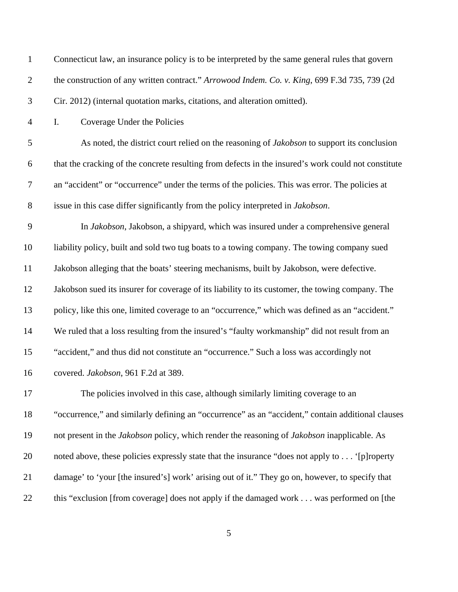| $\mathbf{1}$   | Connecticut law, an insurance policy is to be interpreted by the same general rules that govern     |
|----------------|-----------------------------------------------------------------------------------------------------|
| $\mathbf{2}$   | the construction of any written contract." Arrowood Indem. Co. v. King, 699 F.3d 735, 739 (2d       |
| 3              | Cir. 2012) (internal quotation marks, citations, and alteration omitted).                           |
| $\overline{4}$ | Ι.<br>Coverage Under the Policies                                                                   |
| $\mathfrak{S}$ | As noted, the district court relied on the reasoning of Jakobson to support its conclusion          |
| 6              | that the cracking of the concrete resulting from defects in the insured's work could not constitute |
| $\tau$         | an "accident" or "occurrence" under the terms of the policies. This was error. The policies at      |
| $8\,$          | issue in this case differ significantly from the policy interpreted in <i>Jakobson</i> .            |
| 9              | In Jakobson, Jakobson, a shipyard, which was insured under a comprehensive general                  |
| 10             | liability policy, built and sold two tug boats to a towing company. The towing company sued         |
| 11             | Jakobson alleging that the boats' steering mechanisms, built by Jakobson, were defective.           |
| 12             | Jakobson sued its insurer for coverage of its liability to its customer, the towing company. The    |
| 13             | policy, like this one, limited coverage to an "occurrence," which was defined as an "accident."     |
| 14             | We ruled that a loss resulting from the insured's "faulty workmanship" did not result from an       |
| 15             | "accident," and thus did not constitute an "occurrence." Such a loss was accordingly not            |
| 16             | covered. Jakobson, 961 F.2d at 389.                                                                 |
| 17             | The policies involved in this case, although similarly limiting coverage to an                      |
| 18             | "occurrence," and similarly defining an "occurrence" as an "accident," contain additional clauses   |
| 19             | not present in the Jakobson policy, which render the reasoning of Jakobson inapplicable. As         |
| 20             | noted above, these policies expressly state that the insurance "does not apply to '[p]roperty       |
| 21             | damage' to 'your [the insured's] work' arising out of it." They go on, however, to specify that     |
| 22             | this "exclusion [from coverage] does not apply if the damaged work was performed on [the            |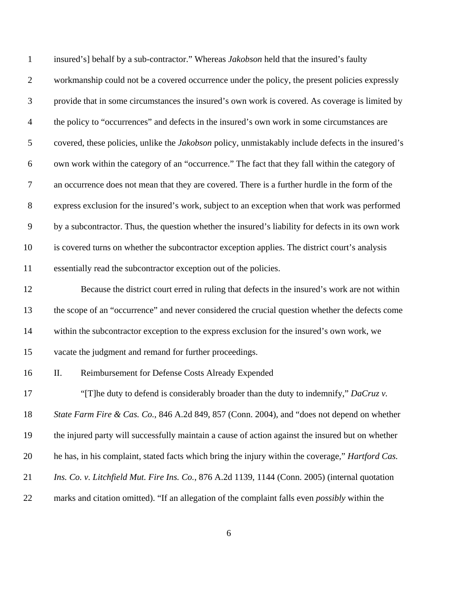| $\mathbf{1}$   | insured's] behalf by a sub-contractor." Whereas Jakobson held that the insured's faulty               |
|----------------|-------------------------------------------------------------------------------------------------------|
| $\overline{2}$ | workmanship could not be a covered occurrence under the policy, the present policies expressly        |
| 3              | provide that in some circumstances the insured's own work is covered. As coverage is limited by       |
| $\overline{4}$ | the policy to "occurrences" and defects in the insured's own work in some circumstances are           |
| 5              | covered, these policies, unlike the Jakobson policy, unmistakably include defects in the insured's    |
| 6              | own work within the category of an "occurrence." The fact that they fall within the category of       |
| $\tau$         | an occurrence does not mean that they are covered. There is a further hurdle in the form of the       |
| $8\,$          | express exclusion for the insured's work, subject to an exception when that work was performed        |
| 9              | by a subcontractor. Thus, the question whether the insured's liability for defects in its own work    |
| 10             | is covered turns on whether the subcontractor exception applies. The district court's analysis        |
| 11             | essentially read the subcontractor exception out of the policies.                                     |
| 12             | Because the district court erred in ruling that defects in the insured's work are not within          |
| 13             | the scope of an "occurrence" and never considered the crucial question whether the defects come       |
| 14             | within the subcontractor exception to the express exclusion for the insured's own work, we            |
| 15             | vacate the judgment and remand for further proceedings.                                               |
| 16             | Reimbursement for Defense Costs Already Expended<br>II.                                               |
| 17             | "[T]he duty to defend is considerably broader than the duty to indemnify," $DaCruzv$ .                |
| 18             | State Farm Fire & Cas. Co., 846 A.2d 849, 857 (Conn. 2004), and "does not depend on whether           |
| 19             | the injured party will successfully maintain a cause of action against the insured but on whether     |
| 20             | he has, in his complaint, stated facts which bring the injury within the coverage," Hartford Cas.     |
| 21             | Ins. Co. v. Litchfield Mut. Fire Ins. Co., 876 A.2d 1139, 1144 (Conn. 2005) (internal quotation       |
| 22             | marks and citation omitted). "If an allegation of the complaint falls even <i>possibly</i> within the |